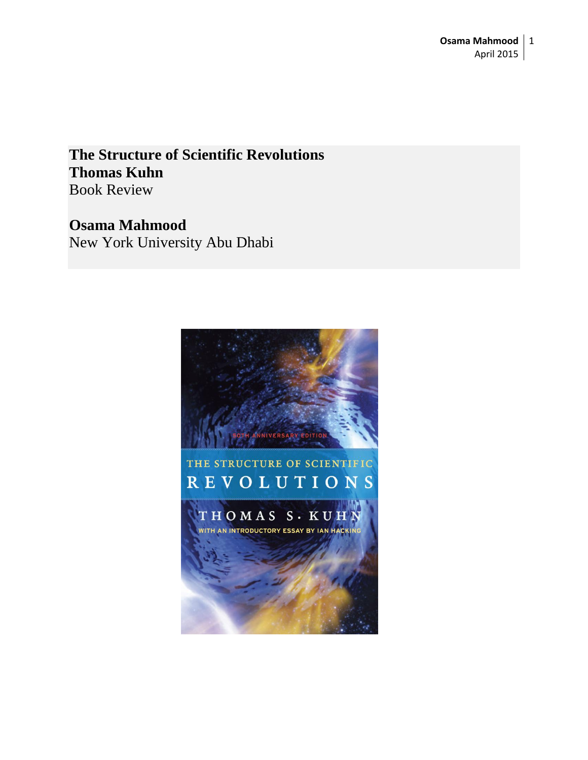**The Structure of Scientific Revolutions Thomas Kuhn** Book Review

## **Osama Mahmood**

New York University Abu Dhabi

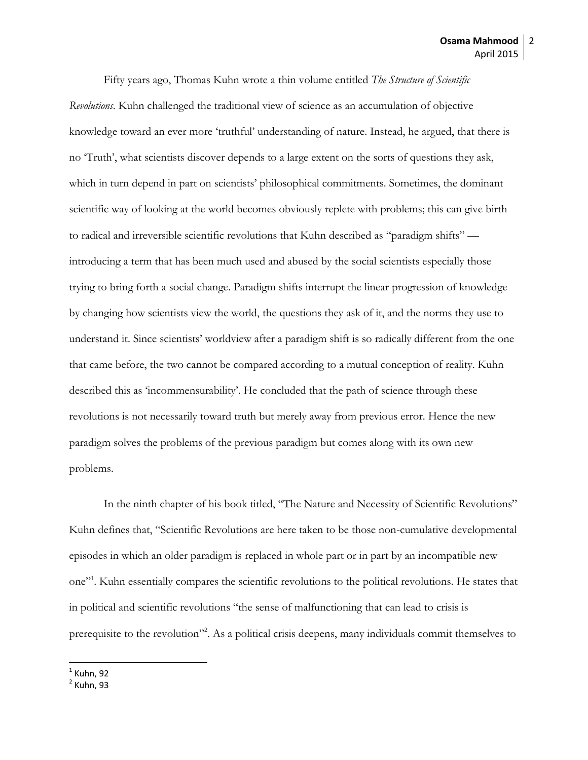Fifty years ago, Thomas Kuhn wrote a thin volume entitled *[The Structure of Scientific](http://www.amazon.com/gp/product/0226458121/ref=as_li_qf_sp_asin_il_tl?ie=UTF8&camp=1789&creative=9325&creativeASIN=0226458121&linkCode=as2&tag=thenewatl-20)* 

*[Revolutions](http://www.amazon.com/gp/product/0226458121/ref=as_li_qf_sp_asin_il_tl?ie=UTF8&camp=1789&creative=9325&creativeASIN=0226458121&linkCode=as2&tag=thenewatl-20)*. Kuhn challenged the traditional view of science as an accumulation of objective knowledge toward an ever more 'truthful' understanding of nature. Instead, he argued, that there is no 'Truth', what scientists discover depends to a large extent on the sorts of questions they ask, which in turn depend in part on scientists' philosophical commitments. Sometimes, the dominant scientific way of looking at the world becomes obviously replete with problems; this can give birth to radical and irreversible scientific revolutions that Kuhn described as "paradigm shifts" introducing a term that has been much used and abused by the social scientists especially those trying to bring forth a social change. Paradigm shifts interrupt the linear progression of knowledge by changing how scientists view the world, the questions they ask of it, and the norms they use to understand it. Since scientists' worldview after a paradigm shift is so radically different from the one that came before, the two cannot be compared according to a mutual conception of reality. Kuhn described this as 'incommensurability'. He concluded that the path of science through these revolutions is not necessarily toward truth but merely away from previous error. Hence the new paradigm solves the problems of the previous paradigm but comes along with its own new problems.

In the ninth chapter of his book titled, "The Nature and Necessity of Scientific Revolutions" Kuhn defines that, "Scientific Revolutions are here taken to be those non-cumulative developmental episodes in which an older paradigm is replaced in whole part or in part by an incompatible new one"<sup>1</sup>. Kuhn essentially compares the scientific revolutions to the political revolutions. He states that in political and scientific revolutions "the sense of malfunctioning that can lead to crisis is prerequisite to the revolution"<sup>2</sup>. As a political crisis deepens, many individuals commit themselves to

l  $^1$  Kuhn, 92

<sup>2</sup> Kuhn, 93